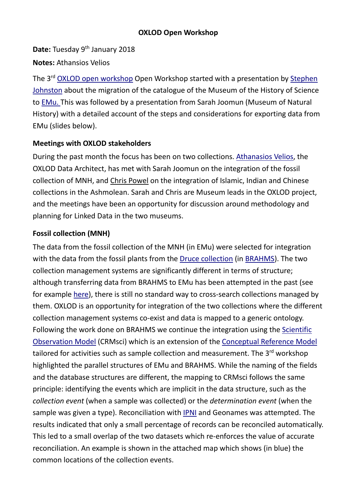## **OXLOD Open Workshop**

**Date:** Tuesday 9<sup>th</sup> January 2018 **Notes:** Athansios Velios

The 3<sup>rd</sup> <u>OXLOD open [workshop](https://www.oerc.ox.ac.uk/oxlod-open-jan)</u> Open Workshop started with a presentation by <u>[Stephen](https://www.history.ox.ac.uk/people/dr-stephen-johnston)</u> [Johnston](https://www.history.ox.ac.uk/people/dr-stephen-johnston) about the migration of the catalogue of the Museum of the History of Science to [EMu.](http://alm.axiell.com/collections-management-solutions/technology/emu-collections-management/) This was followed by a presentation from Sarah Joomun (Museum of Natural History) with a detailed account of the steps and considerations for exporting data from EMu (slides below).

## **Meetings with OXLOD stakeholders**

During the past month the focus has been on two collections. [Athanasios](https://www.oerc.ox.ac.uk/people/AthanasiosVelios) Velios, the OXLOD Data Architect, has met with Sarah Joomun on the integration of the fossil collection of MNH, and Chris [Powel](http://users.ox.ac.uk/~ashm0133/) on the integration of Islamic, Indian and Chinese collections in the Ashmolean. Sarah and Chris are Museum leads in the OXLOD project, and the meetings have been an opportunity for discussion around methodology and planning for Linked Data in the two museums.

### **Fossil collection (MNH)**

The data from the fossil collection of the MNH (in EMu) were selected for integration with the data from the fossil plants from the Druce [collection](http://herbaria.plants.ox.ac.uk/bol/oxford) (in [BRAHMS\)](http://herbaria.plants.ox.ac.uk/bol/). The two collection management systems are significantly different in terms of structure; although transferring data from BRAHMS to EMu has been attempted in the past (see for example [here\)](http://help.emu.axiell.com/latest/en/Topics/Common/XSLT%20processing%20of%20XML%20import%20files.htm), there is still no standard way to cross-search collections managed by them. OXLOD is an opportunity for integration of the two collections where the different collection management systems co-exist and data is mapped to a generic ontology. Following the work done on BRAHMS we continue the integration using the [Scientific](http://new.cidoc-crm.org/crmsci/fm_releases) [Observation](http://new.cidoc-crm.org/crmsci/fm_releases) Model (CRMsci) which is an extension of the [Conceptual](http://www.cidoc-crm.org/Version/version-6.2) Reference Model tailored for activities such as sample collection and measurement. The 3<sup>rd</sup> workshop highlighted the parallel structures of EMu and BRAHMS. While the naming of the fields and the database structures are different, the mapping to CRMsci follows the same principle: identifying the events which are implicit in the data structure, such as the *collection event* (when a sample was collected) or the *determination event* (when the sample was given a type). Reconciliation with **[IPNI](http://www.ipni.org/)** and Geonames was attempted. The results indicated that only a small percentage of records can be reconciled automatically. This led to a small overlap of the two datasets which re-enforces the value of accurate reconciliation. An example is shown in the attached map which shows (in blue) the common locations of the collection events.